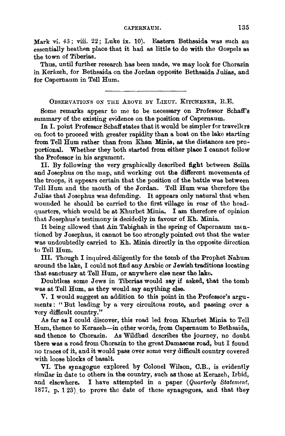## CAPERNAUM. 135

Mark vi. 45; viii. 22; Luke ix. 10). Eastern Bethsaida was such an essentially heathen place that it had as little to do with the Gospels as the town of Tiberias.

Thus, until further research has been made, we may look for Chorazin in Keräzeh, for Bethsaida on the Jordan opposite Bethsaida Julias, and for Capemaum in Tell Hum.

OBSERVATIONS ON THE ABOVE BY LIEUT. KITCHENER, R.E.

Some remarks appear to me to be necessary on Professor Schaff's summary of the existing evidence on the position of Capemaum.

In I. point Professor Schaff states that it would be simpler for travellers on foot to proceed with greater rapidity than a boat on the lake starting from Tell Hum rather than from Khan Minia, as the distances are proportional. Whether they both started from either place I cannot follow the Professor in his argument.

II. By following the very graphically described fight between Scilla and Josephus on the map, and working out the different movements of the troops, it appears certain that the position of the battle was between Tell Hum and the mouth of the Jordan. Tell Hum was therefore the Julias that Josephus was defending. It appears only natural that when wounded he should be carried to the first village in rear of the headquarters, which would be at Khurbet Minia. I am therefore of opinion that Josephus's testimony is decidedly in favour of Kh. Minia.

It being allowed that Ain Tabighah is the spring of Capernaum mentioned by Josephus, it cannot be too strongly pointed out that the water was undoubtedly carried to Kh. Minia directly in the opposite direction to Tell Hum.

III. Though I inquired diligently for the tomb of the Prophet Nahum around the lake, I could not find any Arabic or Jewish traditions locating that sanctuary at Tell Hum, or anywhere else near the lake.

Doubtless some Jews in Tiberias would say if asked, that the tomb was at Tell Hum, as they would say anything else.

V. I would suggest an addition to this point in the Professor's arguments : " But leading by a very circuitous route, and passing over a very difficult country."

As far as I could discover, this road led from Khurbet Minia to Tell Hum, thence to Kerazeh-in other words, from Capernaum to Bethsaida, and thence to Chorazin. As Wildbad describes the journey, no doubt there was a road from Chorazin to the great Damascus road, but I found no traces of it, and it would pass over some very difficult country covered with loose blocks of basalt.

VI. The synagogue explored by Colonel Wilson, C.B., is evidently eimilar in date to others in the country, such as those at Kerazeh, Irbid, and elsewhere. I have attempted in a paper *(Quarterly Statement,*  1877, p. 123) to prove the date of these synagogues, and that they